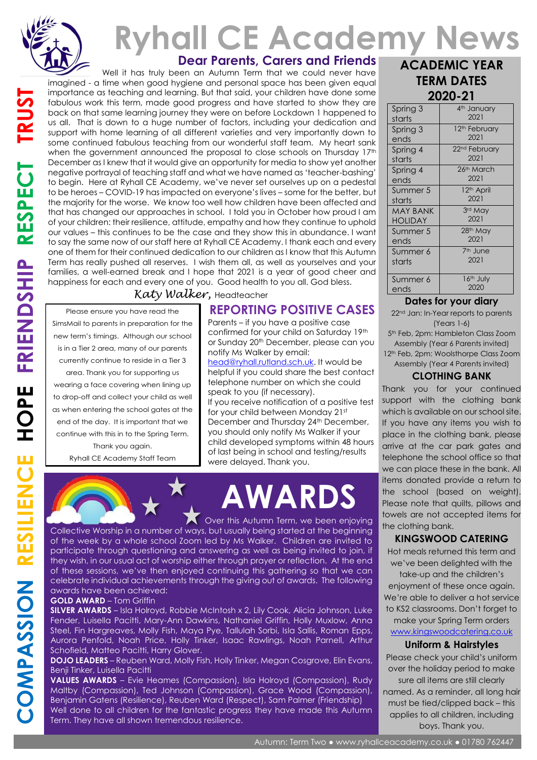

# **Dear Parents, Carers and Friends Ryhall CE Academy News**

 Well it has truly been an Autumn Term that we could never have imagined - a time when good hygiene and personal space has been given equal importance as teaching and learning. But that said, your children have done some fabulous work this term, made good progress and have started to show they are back on that same learning journey they were on before Lockdown 1 happened to us all. That is down to a huge number of factors, including your dedication and support with home learning of all different varieties and very importantly down to some continued fabulous teaching from our wonderful staff team. My heart sank when the government announced the proposal to close schools on Thursday 17<sup>th</sup> December as I knew that it would give an opportunity for media to show yet another negative portrayal of teaching staff and what we have named as 'teacher-bashing' to begin. Here at Ryhall CE Academy, we've never set ourselves up on a pedestal to be heroes – COVID-19 has impacted on everyone's lives – some for the better, but the majority for the worse. We know too well how children have been affected and that has changed our approaches in school. I told you in October how proud I am of your children: their resilience, attitude, empathy and how they continue to uphold our values – this continues to be the case and they show this in abundance. I want to say the same now of our staff here at Ryhall CE Academy. I thank each and every one of them for their continued dedication to our children as I know that this Autumn Term has really pushed all reserves. I wish them all, as well as yourselves and your families, a well-earned break and I hope that 2021 is a year of good cheer and happiness for each and every one of you. Good health to you all. God bless. *Katy Walker,* Headteacher

Please ensure you have read the SimsMail to parents in preparation for the new term's timings. Although our school is in a Tier 2 area, many of our parents currently continue to reside in a Tier 3

area. Thank you for supporting us wearing a face covering when lining up to drop-off and collect your child as well as when entering the school gates at the end of the day. It is important that we continue with this in to the Spring Term.

> Thank you again. Ryhall CE Academy Staff Team

## **REPORTING POSITIVE CASES**

Parents – if you have a positive case confirmed for your child on Saturday 19th or Sunday 20th December, please can you notify Ms Walker by email:

[head@ryhall.rutland.sch.uk.](mailto:head@ryhall.rutland.sch.uk) It would be helpful if you could share the best contact telephone number on which she could speak to you (if necessary). If you receive notification of a positive test for your child between Monday 21st December and Thursday 24<sup>th</sup> December, you should only notify Ms Walker if your child developed symptoms within 48 hours of last being in school and testing/results were delayed. Thank you.



Collective Worship in a number of ways, but usually being started at the beginning of the week by a whole school Zoom led by Ms Walker. Children are invited to participate through questioning and answering as well as being invited to join, if they wish, in our usual act of worship either through prayer or reflection. At the end of these sessions, we've then enjoyed continuing this gathering so that we can celebrate individual achievements through the giving out of awards. The following awards have been achieved:

#### **GOLD AWARD** – Tom Griffin

**SILVER AWARDS** – Isla Holroyd, Robbie McIntosh x 2, Lily Cook, Alicia Johnson, Luke Fender, Luisella Pacitti, Mary-Ann Dawkins, Nathaniel Griffin, Holly Muxlow, Anna Steel, Fin Hargreaves, Molly Fish, Maya Pye, Tallulah Sorbi, Isla Sallis, Roman Epps, Aurora Penfold, Noah Price, Holly Tinker, Isaac Rawlings, Noah Parnell, Arthur Schofield, Matteo Pacitti, Harry Glover.

**DOJO LEADERS** – Reuben Ward, Molly Fish, Holly Tinker, Megan Cosgrove, Elin Evans, Benji Tinker, Luisella Pacitti

**VALUES AWARDS** – Evie Heames (Compassion), Isla Holroyd (Compassion), Rudy Maltby (Compassion), Ted Johnson (Compassion), Grace Wood (Compassion), Benjamin Gatens (Resilience), Reuben Ward (Respect), Sam Palmer (Friendship) Well done to all children for the fantastic progress they have made this Autumn Term. They have all shown tremendous resilience.

| <b>ACADEMIC YEAR</b> |
|----------------------|
| <b>TERM DATES</b>    |
| 2020-21              |

| Spring 3        | 4 <sup>th</sup> January   |
|-----------------|---------------------------|
| starts          | 2021                      |
| Spring 3        | 12 <sup>th</sup> February |
| ends            | 2021                      |
| Spring 4        | 22 <sup>nd</sup> February |
| starts          | 2021                      |
| Spring 4        | 26th March                |
| ends            | 2021                      |
| Summer 5        | 12 <sup>th</sup> April    |
| starts          | 2021                      |
| <b>MAY BANK</b> | 3rd May                   |
| <b>HOLIDAY</b>  | 2021                      |
| Summer 5        | 28 <sup>th</sup> May      |
| ends            | 2021                      |
| Summer 6        | 7 <sup>th</sup> June      |
| starts          | 2021                      |
| Summer 6        | 16 <sup>th</sup> July     |
| ends            | 2020                      |

#### **Dates for your diary**

22<sup>nd</sup> Jan: In-Year reports to parents (Years 1-6)

5th Feb, 2pm: Hambleton Class Zoom Assembly (Year 6 Parents invited)

12<sup>th</sup> Feb, 2pm: Woolsthorpe Class Zoom Assembly (Year 4 Parents invited)

#### **CLOTHING BANK**

Thank you for your continued support with the clothing bank which is available on our school site. If you have any items you wish to place in the clothing bank, please arrive at the car park gates and telephone the school office so that we can place these in the bank. All items donated provide a return to the school (based on weight). Please note that quilts, pillows and towels are not accepted items for the clothing bank.

#### **KINGSWOOD CATERING**

Hot meals returned this term and we've been delighted with the

take-up and the children's enjoyment of these once again. We're able to deliver a hot service to KS2 classrooms. Don't forget to make your Spring Term orders [www.kingswoodcatering.co.uk](http://www.kingswoodcatering.co.uk/)

#### **Uniform & Hairstyles**

Please check your child's uniform over the holiday period to make sure all items are still clearly named. As a reminder, all long hair must be tied/clipped back – this applies to all children, including boys. Thank you.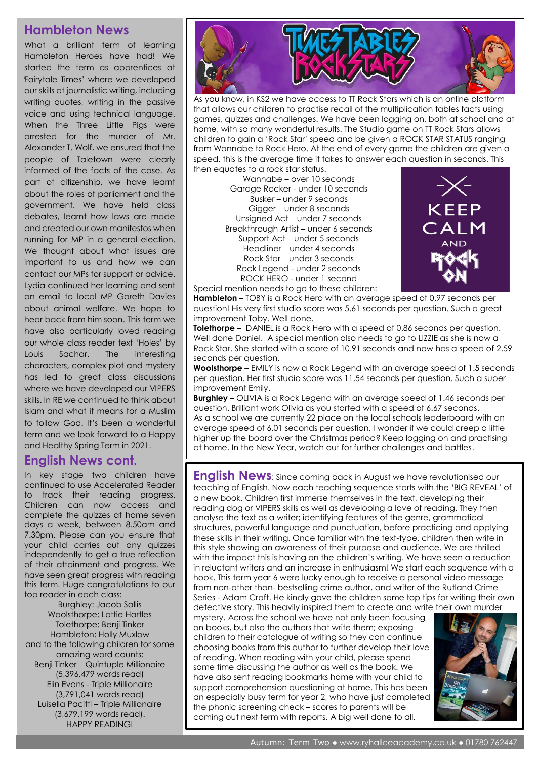### **Hambleton News**

What a brilliant term of learning Hambleton Heroes have had! We started the term as apprentices at Fairytale Times' where we developed ' our skills at journalistic writing, including writing quotes, writing in the passive voice and using technical language. When the Three Little Pias were arrested for the murder of Mr. Alexander T. Wolf, we ensured that the people of Taletown were clearly informed of the facts of the case. As part of citizenship, we have learnt about the roles of parliament and the government. We have held class debates, learnt how laws are made and created our own manifestos when running for MP in a general election. We thought about what issues are important to us and how we can contact our MPs for support or advice. Lydia continued her learning and sent an email to local MP Gareth Davies about animal welfare. We hope to hear back from him soon. This term we have also particularly loved reading our whole class reader text 'Holes' by Louis Sachar. The interesting characters, complex plot and mystery has led to great class discussions where we have developed our VIPERS skills. In RE we continued to think about Islam and what it means for a Muslim to follow God. It's been a wonderful term and we look forward to a Happy and Healthy Spring Term in 2021.

## **English News cont.**

In key stage two children have continued to use Accelerated Reader to track their reading progress. Children can now access and complete the quizzes at home seven days a week, between 8.50am and 7.30pm. Please can you ensure that your child carries out any quizzes independently to get a true reflection of their attainment and progress. We have seen great progress with reading this term. Huge congratulations to our top reader in each class:

Burghley: Jacob Sallis Woolsthorpe: Lottie Hartles Tolethorpe: Benji Tinker Hambleton: Holly Muxlow and to the following children for some amazing word counts: Benji Tinker – Quintuple Millionaire (5,396,479 words read) Elin Evans - Triple Millionaire (3,791,041 words read) Luisella Pacitti – Triple Millionaire (3,679,199 words read). HAPPY READING!



As you know, in KS2 we have access to TT Rock Stars which is an online platform that allows our children to practise recall of the multiplication tables facts using games, quizzes and challenges. We have been logging on, both at school and at home, with so many wonderful results. The Studio game on TT Rock Stars allows children to gain a 'Rock Star' speed and be given a ROCK STAR STATUS ranging from Wannabe to Rock Hero. At the end of every game the children are given a speed, this is the average time it takes to answer each question in seconds. This then equates to a rock star status.

Wannabe – over 10 seconds Garage Rocker - under 10 seconds Busker – under 9 seconds Gigger – under 8 seconds Unsigned Act – under 7 seconds Breakthrough Artist – under 6 seconds Support Act – under 5 seconds Headliner – under 4 seconds Rock Star – under 3 seconds Rock Legend - under 2 seconds ROCK HERO - under 1 second Special mention needs to go to these children:



**Hambleton** – TOBY is a Rock Hero with an average speed of 0.97 seconds per question! His very first studio score was 5.61 seconds per question. Such a great improvement Toby. Well done.

**Tolethorpe** – DANIEL is a Rock Hero with a speed of 0.86 seconds per question. Well done Daniel. A special mention also needs to go to LIZZIE as she is now a Rock Star. She started with a score of 10.91 seconds and now has a speed of 2.59 seconds per question.

**Woolsthorpe** – EMILY is now a Rock Legend with an average speed of 1.5 seconds per question. Her first studio score was 11.54 seconds per question. Such a super improvement Emily.

**Burghley** – OLIVIA is a Rock Legend with an average speed of 1.46 seconds per question. Brilliant work Olivia as you started with a speed of 6.67 seconds. As a school we are currently 22 place on the local schools leaderboard with an average speed of 6.01 seconds per question. I wonder if we could creep a little higher up the board over the Christmas period? Keep logging on and practising at home. In the New Year, watch out for further challenges and battles.

**English News:** Since coming back in August we have revolutionised our teaching of English. Now each teaching sequence starts with the 'BIG REVEAL' of a new book. Children first immerse themselves in the text, developing their reading dog or VIPERS skills as well as developing a love of reading. They then analyse the text as a writer; identifying features of the genre, grammatical structures, powerful language and punctuation, before practicing and applying these skills in their writing. Once familiar with the text-type, children then write in this style showing an awareness of their purpose and audience. We are thrilled with the impact this is having on the children's writing. We have seen a reduction in reluctant writers and an increase in enthusiasm! We start each sequence with a hook. This term year 6 were lucky enough to receive a personal video message from non-other than- bestselling crime author, and writer of the Rutland Crime Series - Adam Croft. He kindly gave the children some top tips for writing their own detective story. This heavily inspired them to create and write their own murder

mystery. Across the school we have not only been focusing on books, but also the authors that write them; exposing children to their catalogue of writing so they can continue choosing books from this author to further develop their love of reading. When reading with your child, please spend some time discussing the author as well as the book. We have also sent reading bookmarks home with your child to support comprehension questioning at home. This has been an especially busy term for year 2, who have just completed the phonic screening check – scores to parents will be coming out next term with reports. A big well done to all.

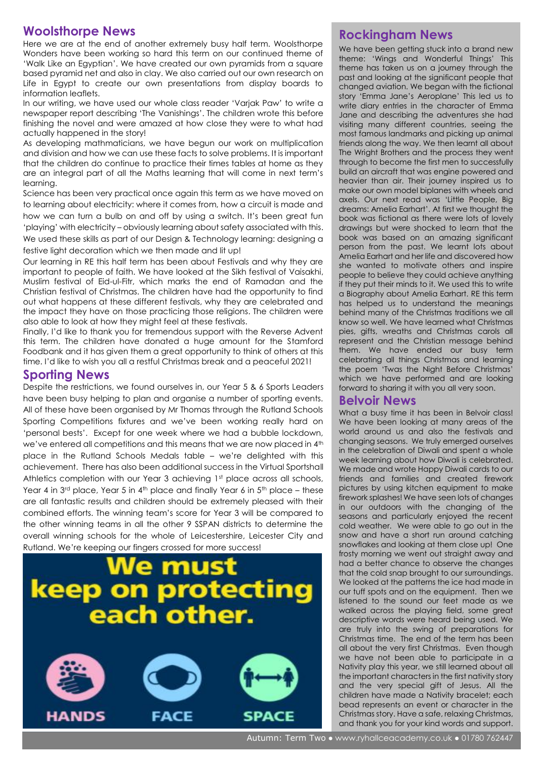## **Woolsthorpe News**

Here we are at the end of another extremely busy half term. Woolsthorpe Wonders have been working so hard this term on our continued theme of 'Walk Like an Egyptian'. We have created our own pyramids from a square based pyramid net and also in clay. We also carried out our own research on Life in Egypt to create our own presentations from display boards to information leaflets.

In our writing, we have used our whole class reader 'Varjak Paw' to write a newspaper report describing 'The Vanishings'. The children wrote this before finishing the novel and were amazed at how close they were to what had actually happened in the story!

As developing mathmaticians, we have begun our work on multiplication and division and how we can use these facts to solve problems. It is important that the children do continue to practice their times tables at home as they are an integral part of all the Maths learning that will come in next term's learning.

Science has been very practical once again this term as we have moved on to learning about electricity: where it comes from, how a circuit is made and how we can turn a bulb on and off by using a switch. It's been great fun 'playing' with electricity – obviously learning about safety associated with this. We used these skills as part of our Design & Technology learning: designing a festive light decoration which we then made and lit up!

Our learning in RE this half term has been about Festivals and why they are important to people of faith. We have looked at the Sikh festival of Vaisakhi, Muslim festival of Eid-ul-Fitr, which marks the end of Ramadan and the Christian festival of Christmas. The children have had the opportunity to find out what happens at these different festivals, why they are celebrated and the impact they have on those practicing those religions. The children were also able to look at how they might feel at these festivals.

Finally, I'd like to thank you for tremendous support with the Reverse Advent this term. The children have donated a huge amount for the Stamford Foodbank and it has given them a great opportunity to think of others at this time. I'd like to wish you all a restful Christmas break and a peaceful 2021!

## **Sporting News**

Despite the restrictions, we found ourselves in, our Year 5 & 6 Sports Leaders have been busy helping to plan and organise a number of sporting events. All of these have been organised by Mr Thomas through the Rutland Schools Sporting Competitions fixtures and we've been working really hard on 'personal bests'. Except for one week where we had a bubble lockdown, we've entered all competitions and this means that we are now placed in 4<sup>th</sup> place in the Rutland Schools Medals table – we're delighted with this achievement. There has also been additional success in the Virtual Sportshall Athletics completion with our Year 3 achieving 1st place across all schools, Year 4 in  $3^{rd}$  place, Year 5 in  $4^{th}$  place and finally Year 6 in  $5^{th}$  place – these are all fantastic results and children should be extremely pleased with their combined efforts. The winning team's score for Year 3 will be compared to the other winning teams in all the other 9 SSPAN districts to determine the overall winning schools for the whole of Leicestershire, Leicester City and Rutland. We're keeping our fingers crossed for more success!









## **Rockingham News Rockingham**

We have been getting stuck into a brand new theme: 'Wings and Wonderful Things' This theme has taken us on a journey through the past and looking at the significant people that changed aviation. We began with the fictional story 'Emma Jane's Aeroplane' This led us to write diary entries in the character of Emma Jane and describing the adventures she had visiting many different countries, seeing the most famous landmarks and picking up animal friends along the way. We then learnt all about The Wright Brothers and the process they went through to become the first men to successfully build an aircraft that was engine powered and heavier than air. Their journey inspired us to make our own model biplanes with wheels and axels. Our next read was 'Little People, Big dreams: Amelia Earhart'. At first we thought the book was fictional as there were lots of lovely drawings but were shocked to learn that the book was based on an amazing significant person from the past. We learnt lots about Amelia Earhart and her life and discovered how she wanted to motivate others and inspire people to believe they could achieve anything if they put their minds to it. We used this to write a Biography about Amelia Earhart. RE this term has helped us to understand the meanings behind many of the Christmas traditions we all know so well. We have learned what Christmas pies, gifts, wreaths and Christmas carols all represent and the Christian message behind them. We have ended our busy term celebrating all things Christmas and learning the poem 'Twas the Night Before Christmas' which we have performed and are looking forward to sharing it with you all very soon.

#### **Belvoir News**

What a busy time it has been in Belvoir class! We have been looking at many areas of the world around us and also the festivals and changing seasons. We truly emerged ourselves in the celebration of Diwali and spent a whole week learning about how Diwali is celebrated. We made and wrote Happy Diwali cards to our friends and families and created firework pictures by using kitchen equipment to make firework splashes! We have seen lots of changes in our outdoors with the changing of the seasons and particularly enjoyed the recent cold weather. We were able to go out in the snow and have a short run around catching snowflakes and looking at them close up! One frosty morning we went out straight away and had a better chance to observe the changes that the cold snap brought to our surroundings. We looked at the patterns the ice had made in our tuff spots and on the equipment. Then we listened to the sound our feet made as we walked across the playing field, some great descriptive words were heard being used. We are truly into the swing of preparations for Christmas time. The end of the term has been all about the very first Christmas. Even though we have not been able to participate in a Nativity play this year, we still learned about all the important characters in the first nativity story and the very special gift of Jesus. All the children have made a Nativity bracelet; each bead represents an event or character in the Christmas story. Have a safe, relaxing Christmas, and thank you for your kind words and support.